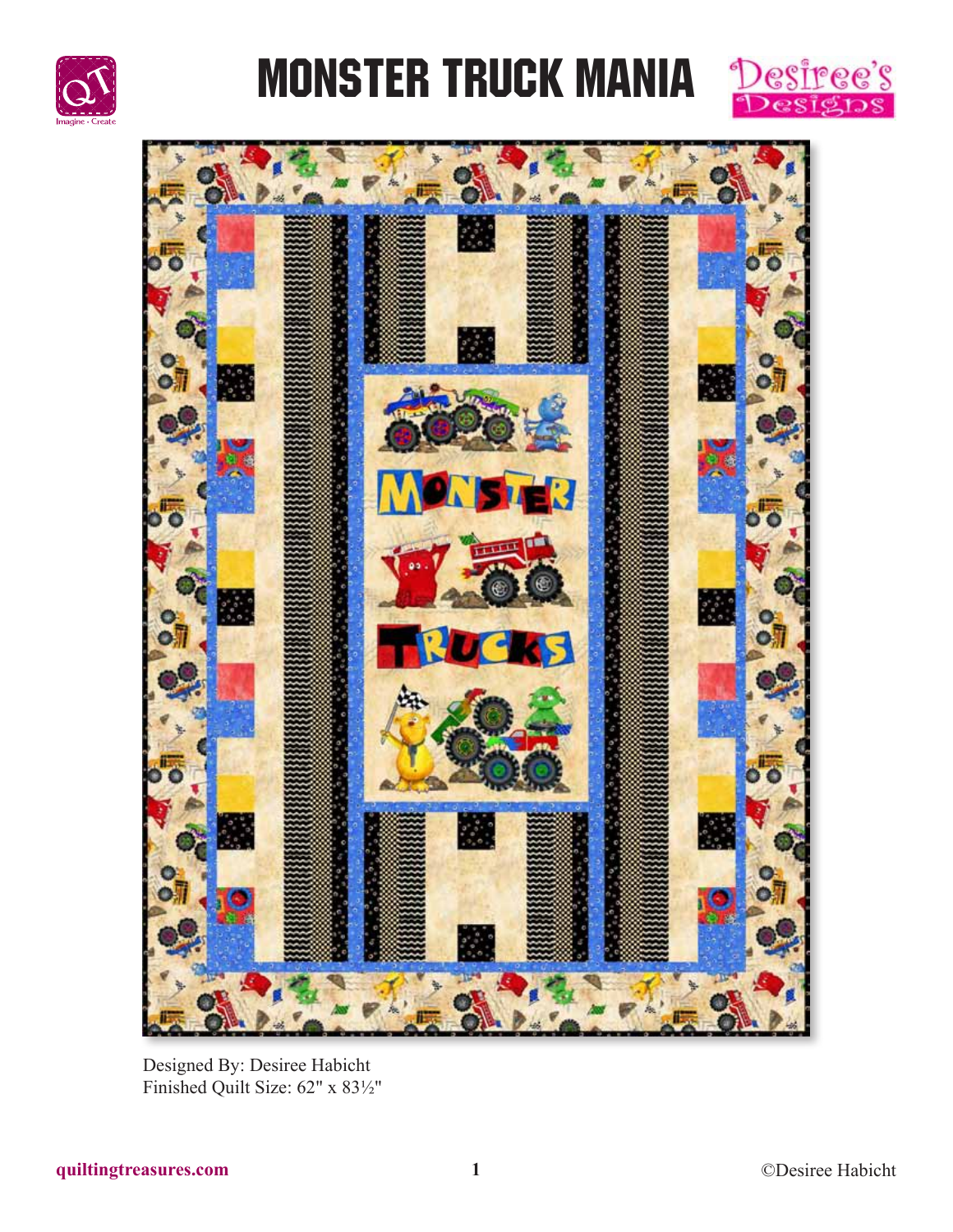

# MONSTER TRUCK MANIA Desiree's





Designed By: Desiree Habicht Finished Quilt Size: 62" x 83½"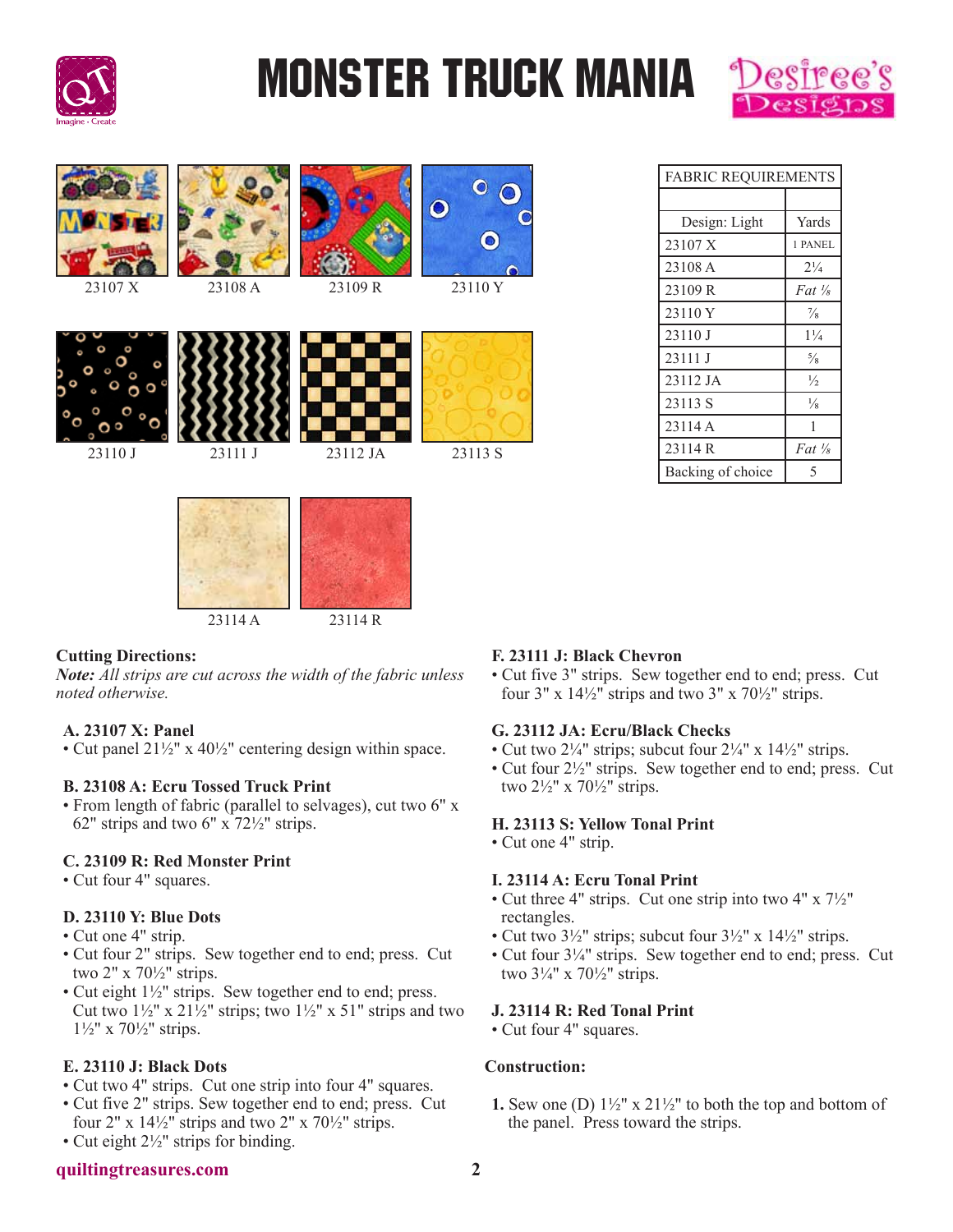

# Monster Truck Mania



| 23107 X | 23108 A | 23109R   | $\bullet$<br>23110Y |
|---------|---------|----------|---------------------|
|         |         |          |                     |
| 23110 J | 23111 J | 23112 JA | 23113 S             |

| <b>FABRIC REQUIREMENTS</b> |                   |  |  |
|----------------------------|-------------------|--|--|
|                            |                   |  |  |
| Design: Light              | Yards             |  |  |
| 23107 X                    | 1 PANEL           |  |  |
| 23108 A                    | $2\frac{1}{4}$    |  |  |
| 23109R                     | $Fat \frac{1}{2}$ |  |  |
| 23110 Y                    | $\frac{7}{8}$     |  |  |
| 23110 J                    | $1\frac{1}{4}$    |  |  |
| 23111 J                    | $\frac{5}{8}$     |  |  |
| 23112 JA                   | $\frac{1}{2}$     |  |  |
| 23113 S                    | $\frac{1}{8}$     |  |  |
| 23114 A                    | 1                 |  |  |
| 23114 R                    | $Fat \frac{1}{2}$ |  |  |
| Backing of choice          | 5                 |  |  |

## **Cutting Directions:**

*Note: All strips are cut across the width of the fabric unless noted otherwise.*

23114 A 23114 R

## **A. 23107 X: Panel**

• Cut panel 21½" x 40½" centering design within space.

#### **B. 23108 A: Ecru Tossed Truck Print**

• From length of fabric (parallel to selvages), cut two 6" x 62" strips and two  $6" \times 72\frac{1}{2}$ " strips.

#### **C. 23109 R: Red Monster Print**

• Cut four 4" squares.

## **D. 23110 Y: Blue Dots**

- Cut one 4" strip.
- Cut four 2" strips. Sew together end to end; press. Cut two 2" x 70½" strips.
- Cut eight 1½" strips. Sew together end to end; press. Cut two  $1\frac{1}{2}$ " x  $21\frac{1}{2}$ " strips; two  $1\frac{1}{2}$ " x 51" strips and two  $1\frac{1}{2}$ " x 70 $\frac{1}{2}$ " strips.

#### **E. 23110 J: Black Dots**

- Cut two 4" strips. Cut one strip into four 4" squares.
- Cut five 2" strips. Sew together end to end; press. Cut four 2" x  $14\frac{1}{2}$ " strips and two 2" x  $70\frac{1}{2}$ " strips.
- Cut eight  $2\frac{1}{2}$ " strips for binding.

#### **quiltingtreasures.com 2**

#### **F. 23111 J: Black Chevron**

• Cut five 3" strips. Sew together end to end; press. Cut four  $3'' \times 14\frac{1}{2}$  strips and two  $3'' \times 70\frac{1}{2}$  strips.

#### **G. 23112 JA: Ecru/Black Checks**

- Cut two  $2\frac{1}{4}$ " strips; subcut four  $2\frac{1}{4}$ " x  $14\frac{1}{2}$ " strips.
- Cut four 2½" strips. Sew together end to end; press. Cut two 2½" x 70½" strips.

### **H. 23113 S: Yellow Tonal Print**

• Cut one 4" strip.

#### **I. 23114 A: Ecru Tonal Print**

- Cut three 4" strips. Cut one strip into two 4" x 7½" rectangles.
- Cut two  $3\frac{1}{2}$ " strips; subcut four  $3\frac{1}{2}$ " x  $14\frac{1}{2}$ " strips.
- Cut four 3¼" strips. Sew together end to end; press. Cut two 3¼" x 70½" strips.

#### **J. 23114 R: Red Tonal Print**

• Cut four 4" squares.

#### **Construction:**

**1.** Sew one (D) 1½" x 21½" to both the top and bottom of the panel. Press toward the strips.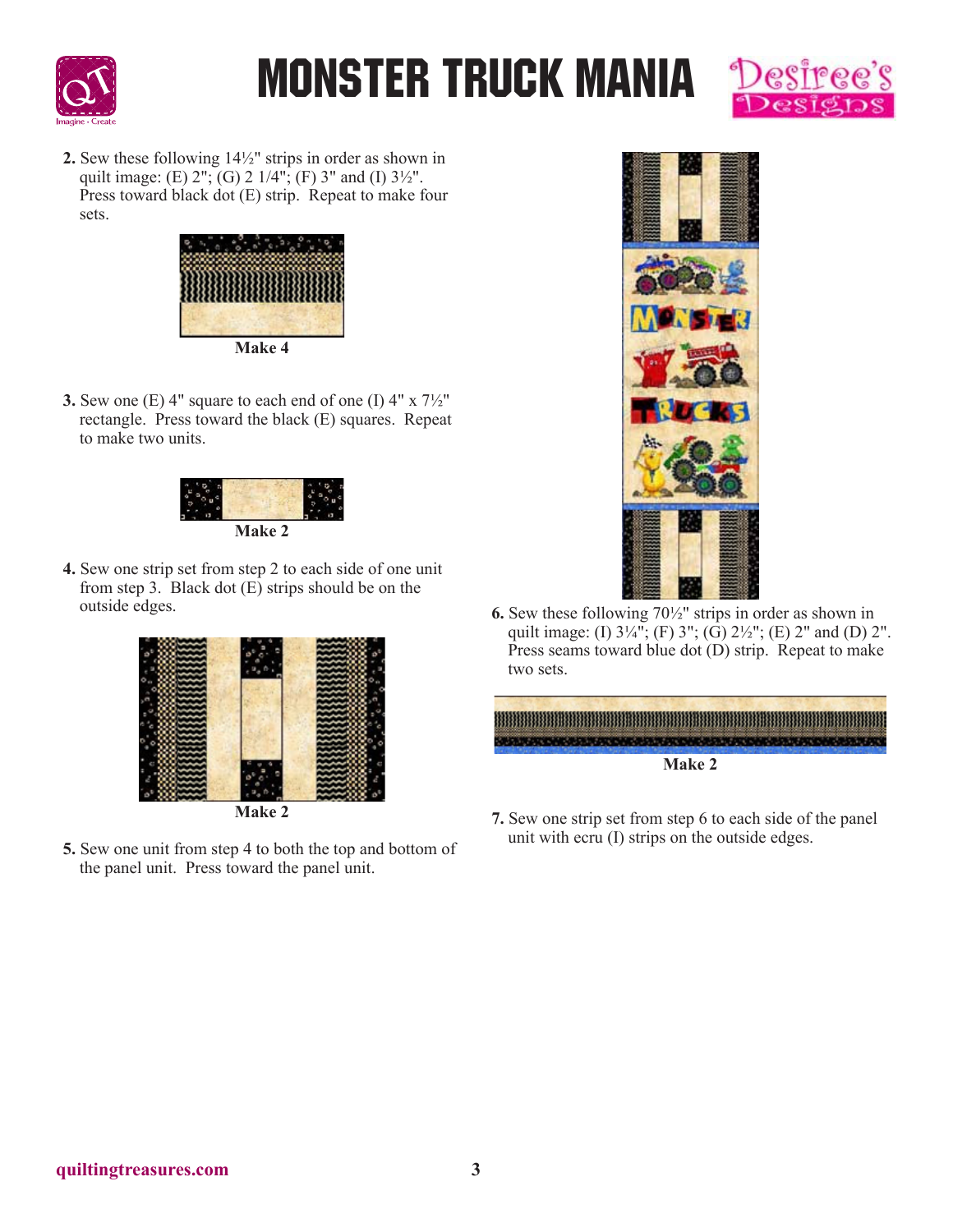

# Monster Truck Mania



**2.** Sew these following 14½" strips in order as shown in quilt image: (E)  $2$ "; (G) 2  $1/4$ "; (F) 3" and (I)  $3\frac{1}{2}$ ". Press toward black dot (E) strip. Repeat to make four sets.



**3.** Sew one (E) 4" square to each end of one (I)  $4" \times 7\frac{1}{2"$ rectangle. Press toward the black (E) squares. Repeat to make two units.



**4.** Sew one strip set from step 2 to each side of one unit from step 3. Black dot  $(E)$  strips should be on the outside edges.





**5.** Sew one unit from step 4 to both the top and bottom of the panel unit. Press toward the panel unit.



**6.** Sew these following 70½" strips in order as shown in quilt image: (I)  $3\frac{1}{4}$ "; (F)  $3$ "; (G)  $2\frac{1}{2}$ "; (E)  $2$ " and (D)  $2$ ". Press seams toward blue dot (D) strip. Repeat to make two sets.



**7.** Sew one strip set from step 6 to each side of the panel unit with ecru (I) strips on the outside edges.